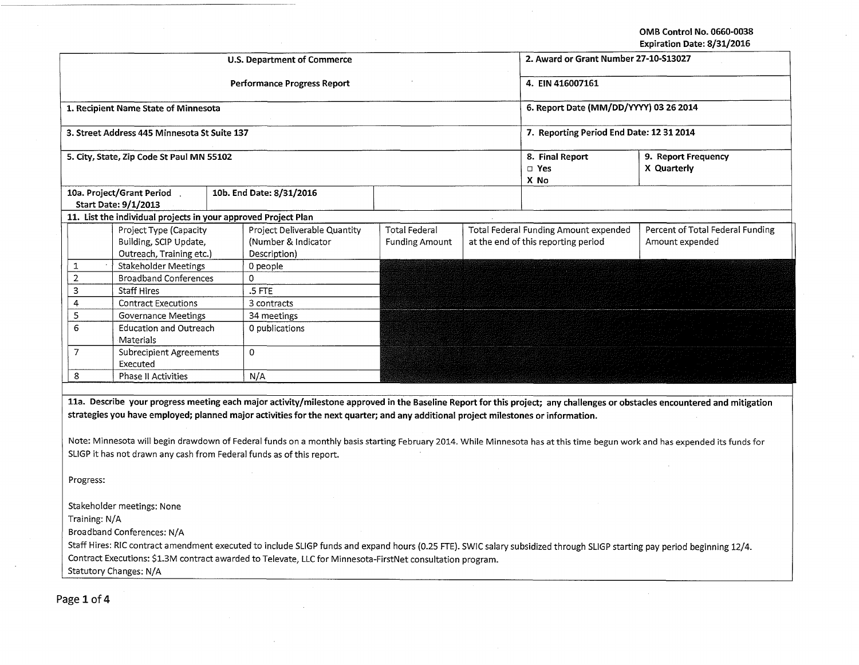OMB Control No. 0660-0038

| Expiration Date: 8/31/2016                                                                                                                                                                                                                                                                                                                                                                                                                                                                                                                                              |                                                                                                            |  |                                                                                                                                                                           |                                               |                                          |                                                                              |                                                     |  |  |  |
|-------------------------------------------------------------------------------------------------------------------------------------------------------------------------------------------------------------------------------------------------------------------------------------------------------------------------------------------------------------------------------------------------------------------------------------------------------------------------------------------------------------------------------------------------------------------------|------------------------------------------------------------------------------------------------------------|--|---------------------------------------------------------------------------------------------------------------------------------------------------------------------------|-----------------------------------------------|------------------------------------------|------------------------------------------------------------------------------|-----------------------------------------------------|--|--|--|
|                                                                                                                                                                                                                                                                                                                                                                                                                                                                                                                                                                         |                                                                                                            |  | <b>U.S. Department of Commerce</b>                                                                                                                                        |                                               | 2. Award or Grant Number 27-10-S13027    |                                                                              |                                                     |  |  |  |
|                                                                                                                                                                                                                                                                                                                                                                                                                                                                                                                                                                         |                                                                                                            |  | <b>Performance Progress Report</b>                                                                                                                                        |                                               | 4. EIN 416007161                         |                                                                              |                                                     |  |  |  |
|                                                                                                                                                                                                                                                                                                                                                                                                                                                                                                                                                                         | 1. Recipient Name State of Minnesota                                                                       |  |                                                                                                                                                                           |                                               | 6. Report Date (MM/DD/YYYY) 03 26 2014   |                                                                              |                                                     |  |  |  |
|                                                                                                                                                                                                                                                                                                                                                                                                                                                                                                                                                                         | 3. Street Address 445 Minnesota St Suite 137                                                               |  |                                                                                                                                                                           |                                               | 7. Reporting Period End Date: 12 31 2014 |                                                                              |                                                     |  |  |  |
| 5. City, State, Zip Code St Paul MN 55102                                                                                                                                                                                                                                                                                                                                                                                                                                                                                                                               |                                                                                                            |  |                                                                                                                                                                           |                                               |                                          | 8. Final Report<br>9. Report Frequency<br>$\Box$ Yes<br>X Quarterly<br>X No  |                                                     |  |  |  |
|                                                                                                                                                                                                                                                                                                                                                                                                                                                                                                                                                                         | 10a. Project/Grant Period.<br><b>Start Date: 9/1/2013</b>                                                  |  | 10b. End Date: 8/31/2016                                                                                                                                                  |                                               |                                          |                                                                              |                                                     |  |  |  |
|                                                                                                                                                                                                                                                                                                                                                                                                                                                                                                                                                                         | 11. List the individual projects in your approved Project Plan                                             |  |                                                                                                                                                                           |                                               |                                          |                                                                              |                                                     |  |  |  |
|                                                                                                                                                                                                                                                                                                                                                                                                                                                                                                                                                                         | Project Type (Capacity<br>Building, SCIP Update,<br>Outreach, Training etc.)                               |  | Project Deliverable Quantity<br>(Number & Indicator<br>Description)                                                                                                       | <b>Total Federal</b><br><b>Funding Amount</b> |                                          | Total Federal Funding Amount expended<br>at the end of this reporting period | Percent of Total Federal Funding<br>Amount expended |  |  |  |
| 1                                                                                                                                                                                                                                                                                                                                                                                                                                                                                                                                                                       | <b>Stakeholder Meetings</b>                                                                                |  | 0 people                                                                                                                                                                  |                                               |                                          |                                                                              |                                                     |  |  |  |
| $\overline{2}$                                                                                                                                                                                                                                                                                                                                                                                                                                                                                                                                                          | <b>Broadband Conferences</b>                                                                               |  | 0                                                                                                                                                                         |                                               |                                          |                                                                              |                                                     |  |  |  |
| 3                                                                                                                                                                                                                                                                                                                                                                                                                                                                                                                                                                       | <b>Staff Hires</b>                                                                                         |  | $.5$ FTE                                                                                                                                                                  |                                               |                                          |                                                                              |                                                     |  |  |  |
| 4                                                                                                                                                                                                                                                                                                                                                                                                                                                                                                                                                                       | <b>Contract Executions</b>                                                                                 |  | 3 contracts                                                                                                                                                               |                                               |                                          |                                                                              |                                                     |  |  |  |
| 5                                                                                                                                                                                                                                                                                                                                                                                                                                                                                                                                                                       | <b>Governance Meetings</b>                                                                                 |  | 34 meetings                                                                                                                                                               |                                               |                                          |                                                                              |                                                     |  |  |  |
| 6                                                                                                                                                                                                                                                                                                                                                                                                                                                                                                                                                                       | <b>Education and Outreach</b><br>Materials                                                                 |  | 0 publications                                                                                                                                                            |                                               |                                          |                                                                              |                                                     |  |  |  |
| $\overline{7}$                                                                                                                                                                                                                                                                                                                                                                                                                                                                                                                                                          | <b>Subrecipient Agreements</b><br>Executed                                                                 |  | 0                                                                                                                                                                         |                                               |                                          |                                                                              |                                                     |  |  |  |
| 8                                                                                                                                                                                                                                                                                                                                                                                                                                                                                                                                                                       | Phase II Activities                                                                                        |  | N/A                                                                                                                                                                       |                                               |                                          |                                                                              |                                                     |  |  |  |
|                                                                                                                                                                                                                                                                                                                                                                                                                                                                                                                                                                         |                                                                                                            |  |                                                                                                                                                                           |                                               |                                          |                                                                              |                                                     |  |  |  |
| 11a. Describe your progress meeting each major activity/milestone approved in the Baseline Report for this project; any challenges or obstacles encountered and mitigation<br>strategies you have employed; planned major activities for the next quarter; and any additional project milestones or information.<br>Note: Minnesota will begin drawdown of Federal funds on a monthly basis starting February 2014. While Minnesota has at this time begun work and has expended its funds for<br>SLIGP it has not drawn any cash from Federal funds as of this report. |                                                                                                            |  |                                                                                                                                                                           |                                               |                                          |                                                                              |                                                     |  |  |  |
| Progress:                                                                                                                                                                                                                                                                                                                                                                                                                                                                                                                                                               |                                                                                                            |  |                                                                                                                                                                           |                                               |                                          |                                                                              |                                                     |  |  |  |
|                                                                                                                                                                                                                                                                                                                                                                                                                                                                                                                                                                         |                                                                                                            |  |                                                                                                                                                                           |                                               |                                          |                                                                              |                                                     |  |  |  |
|                                                                                                                                                                                                                                                                                                                                                                                                                                                                                                                                                                         | Stakeholder meetings: None                                                                                 |  |                                                                                                                                                                           |                                               |                                          |                                                                              |                                                     |  |  |  |
| Training: N/A                                                                                                                                                                                                                                                                                                                                                                                                                                                                                                                                                           |                                                                                                            |  |                                                                                                                                                                           |                                               |                                          |                                                                              |                                                     |  |  |  |
|                                                                                                                                                                                                                                                                                                                                                                                                                                                                                                                                                                         | Broadband Conferences: N/A                                                                                 |  |                                                                                                                                                                           |                                               |                                          |                                                                              |                                                     |  |  |  |
|                                                                                                                                                                                                                                                                                                                                                                                                                                                                                                                                                                         |                                                                                                            |  | Staff Hires: RIC contract amendment executed to include SLIGP funds and expand hours (0.25 FTE). SWIC salary subsidized through SLIGP starting pay period beginning 12/4. |                                               |                                          |                                                                              |                                                     |  |  |  |
|                                                                                                                                                                                                                                                                                                                                                                                                                                                                                                                                                                         | Contract Executions: \$1.3M contract awarded to Televate, LLC for Minnesota-FirstNet consultation program. |  |                                                                                                                                                                           |                                               |                                          |                                                                              |                                                     |  |  |  |
|                                                                                                                                                                                                                                                                                                                                                                                                                                                                                                                                                                         | Statutory Changes: N/A                                                                                     |  |                                                                                                                                                                           |                                               |                                          |                                                                              |                                                     |  |  |  |
|                                                                                                                                                                                                                                                                                                                                                                                                                                                                                                                                                                         |                                                                                                            |  |                                                                                                                                                                           |                                               |                                          |                                                                              |                                                     |  |  |  |

Page 1 of 4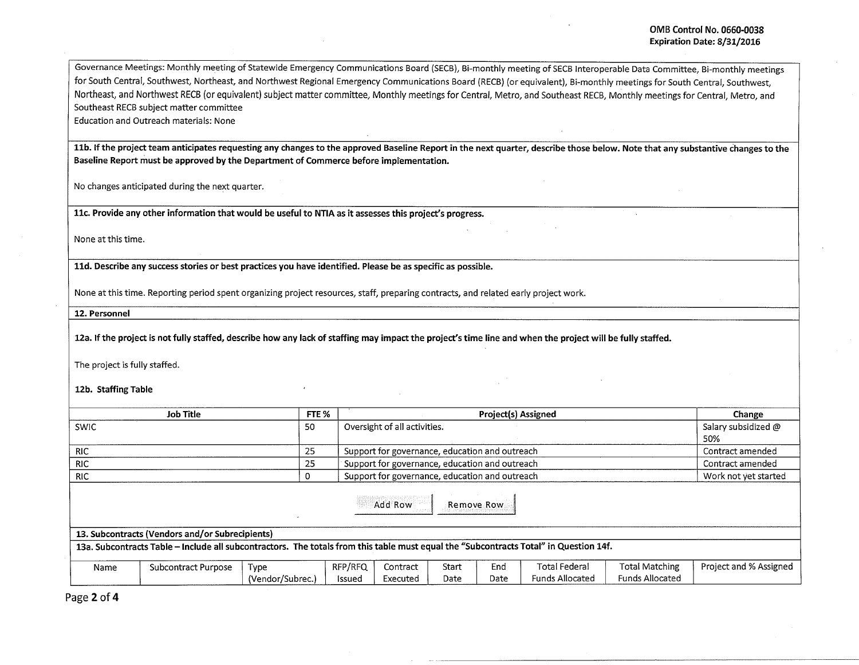Governance Meetings: Monthly meeting of Statewide Emergency Communications Board (SECB), Bi-monthly meeting of SECB Interoperable Data Committee, Bi-monthly meetings for South Central, Southwest, Northeast, and Northwest Regional Emergency Communications Board (RECB) (or equivalent), Bi-monthly meetings for South Central, Southwest, Northeast, and Northwest RECB (or equivalent) subject matter committee, Monthly meetings for Central, Metro, and Southeast RECB, Monthly meetings for Central, Metro, and Southeast RECB subject matter committee

Education and Outreach materials: None

11b. If the project team anticipates requesting any changes to the approved Baseline Report in the next quarter, describe those below. Note that any substantive changes to the Baseline Report must be approved by the Department of Commerce before impl'ementation.

No changes anticipated during the next quarter.

llc. Provide any other information that would be useful to NTIA as it assesses this project's progress.

None at this time.

lld. Describe any success stories or best practices you have identified. Please be as specific as possible.

None at this time. Reporting period spent organizing project resources, staff, preparing contracts, and related early project work.

12. Personnel

12a. If the project is not fully staffed, describe how any lack of staffing may impact the project's time line and when the project will be fully staffed.

The project is fully staffed.

12b. Staffing Table

| <b>Job Title</b>                                                                                                                      |                     |                  | FTE %   |                                                | Change               |      |                        |                        |                        |  |
|---------------------------------------------------------------------------------------------------------------------------------------|---------------------|------------------|---------|------------------------------------------------|----------------------|------|------------------------|------------------------|------------------------|--|
| <b>SWIC</b>                                                                                                                           |                     |                  |         | Oversight of all activities.                   | Salary subsidized @  |      |                        |                        |                        |  |
|                                                                                                                                       |                     |                  |         |                                                |                      |      |                        |                        | 50%                    |  |
| <b>RIC</b>                                                                                                                            |                     | 25               |         | Support for governance, education and outreach | Contract amended     |      |                        |                        |                        |  |
| <b>RIC</b>                                                                                                                            |                     |                  |         | Support for governance, education and outreach | Contract amended     |      |                        |                        |                        |  |
| <b>RIC</b>                                                                                                                            |                     |                  |         | Support for governance, education and outreach | Work not yet started |      |                        |                        |                        |  |
| Add Row<br>Remove Row                                                                                                                 |                     |                  |         |                                                |                      |      |                        |                        |                        |  |
| 13. Subcontracts (Vendors and/or Subrecipients)                                                                                       |                     |                  |         |                                                |                      |      |                        |                        |                        |  |
| 13a. Subcontracts Table - Include all subcontractors. The totals from this table must equal the "Subcontracts Total" in Question 14f. |                     |                  |         |                                                |                      |      |                        |                        |                        |  |
| Name                                                                                                                                  | Subcontract Purpose | Type             | RFP/RFQ | Contract                                       | Start                | End  | <b>Total Federal</b>   | Total Matching         | Project and % Assigned |  |
|                                                                                                                                       |                     | (Vendor/Subrec.) | Issued  | Executed                                       | Date                 | Date | <b>Funds Allocated</b> | <b>Funds Allocated</b> |                        |  |

Page 2 of 4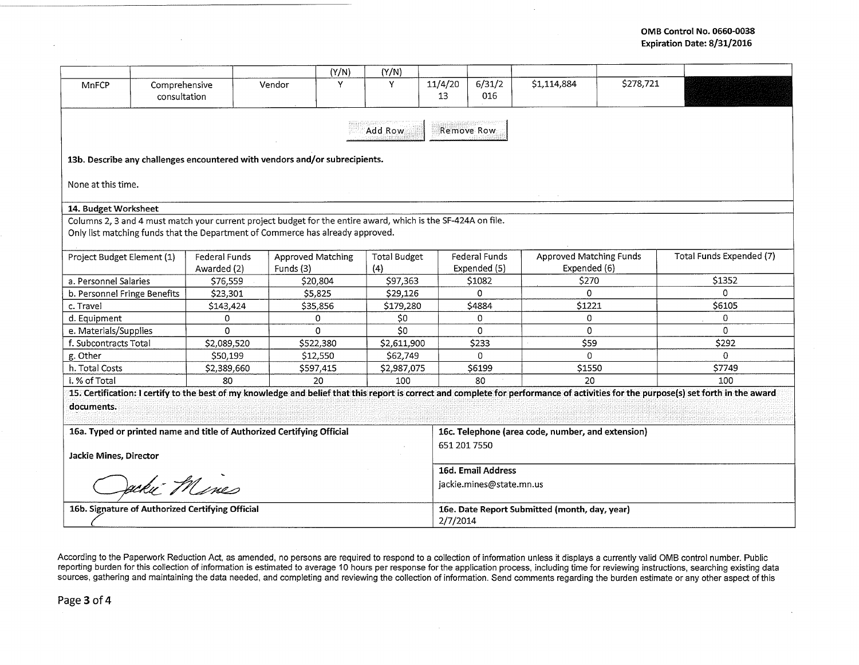|                                                                                                                                                                                                 |                               |                                     |        | (Y/N)                                 | (Y/N)       |                     |                                                                   |                                                |           |                                                                                                                                                                                      |  |  |
|-------------------------------------------------------------------------------------------------------------------------------------------------------------------------------------------------|-------------------------------|-------------------------------------|--------|---------------------------------------|-------------|---------------------|-------------------------------------------------------------------|------------------------------------------------|-----------|--------------------------------------------------------------------------------------------------------------------------------------------------------------------------------------|--|--|
| MnFCP                                                                                                                                                                                           | Comprehensive<br>consultation |                                     | Vendor | Y                                     | Y           | 11/4/20<br>13       | 6/31/2<br>016                                                     | \$1,114,884                                    | \$278.721 |                                                                                                                                                                                      |  |  |
| Remove Row<br>Add Row                                                                                                                                                                           |                               |                                     |        |                                       |             |                     |                                                                   |                                                |           |                                                                                                                                                                                      |  |  |
| 13b. Describe any challenges encountered with vendors and/or subrecipients.                                                                                                                     |                               |                                     |        |                                       |             |                     |                                                                   |                                                |           |                                                                                                                                                                                      |  |  |
| None at this time.                                                                                                                                                                              |                               |                                     |        |                                       |             |                     |                                                                   |                                                |           |                                                                                                                                                                                      |  |  |
| 14. Budget Worksheet                                                                                                                                                                            |                               |                                     |        |                                       |             |                     |                                                                   |                                                |           |                                                                                                                                                                                      |  |  |
| Columns 2, 3 and 4 must match your current project budget for the entire award, which is the SF-424A on file.<br>Only list matching funds that the Department of Commerce has already approved. |                               |                                     |        |                                       |             |                     |                                                                   |                                                |           |                                                                                                                                                                                      |  |  |
| Project Budget Element (1)                                                                                                                                                                      |                               | <b>Federal Funds</b><br>Awarded (2) |        | <b>Approved Matching</b><br>Funds (3) |             | <b>Total Budget</b> | Federal Funds<br>Expended (5)                                     | <b>Approved Matching Funds</b><br>Expended (6) |           | Total Funds Expended (7)                                                                                                                                                             |  |  |
| a. Personnel Salaries                                                                                                                                                                           |                               | \$76,559                            |        | \$20,804                              |             |                     | \$1082                                                            | \$270                                          |           | \$1352                                                                                                                                                                               |  |  |
| b. Personnel Fringe Benefits                                                                                                                                                                    |                               | \$23,301                            |        | \$5,825                               |             |                     | $\Omega$                                                          | 0                                              |           | $\Omega$                                                                                                                                                                             |  |  |
| c. Travel                                                                                                                                                                                       |                               | \$143,424                           |        | \$35,856                              |             |                     | \$4884                                                            | \$1221                                         |           | \$6105                                                                                                                                                                               |  |  |
| d. Equipment                                                                                                                                                                                    |                               | 0                                   |        | 0                                     |             |                     | 0                                                                 | 0                                              |           | $\Omega$                                                                                                                                                                             |  |  |
| e. Materials/Supplies                                                                                                                                                                           |                               | $\Omega$                            |        | $\Omega$                              |             |                     | 0                                                                 | 0                                              |           | $\Omega$                                                                                                                                                                             |  |  |
| f. Subcontracts Total                                                                                                                                                                           |                               | \$2,089.520                         |        | \$522,380                             |             | \$2,611,900         | \$233                                                             | \$59                                           |           | \$292                                                                                                                                                                                |  |  |
| g. Other                                                                                                                                                                                        |                               | \$50,199                            |        | \$12,550                              |             |                     | 0                                                                 | $\Omega$                                       |           | $\Omega$                                                                                                                                                                             |  |  |
| h. Total Costs                                                                                                                                                                                  |                               | \$2,389,660                         |        | \$597,415                             | \$2,987,075 |                     | \$6199                                                            | \$1550                                         |           | \$7749                                                                                                                                                                               |  |  |
| i. % of Total                                                                                                                                                                                   |                               | 80                                  |        | 20                                    |             |                     | 80                                                                | 20                                             |           | 100                                                                                                                                                                                  |  |  |
|                                                                                                                                                                                                 |                               |                                     |        |                                       |             |                     |                                                                   |                                                |           | 15. Certification: I certify to the best of my knowledge and belief that this report is correct and complete for performance of activities for the purpose(s) set forth in the award |  |  |
| documents.                                                                                                                                                                                      |                               |                                     |        |                                       |             |                     |                                                                   |                                                |           |                                                                                                                                                                                      |  |  |
| 16a. Typed or printed name and title of Authorized Certifying Official                                                                                                                          |                               |                                     |        |                                       |             |                     | 16c. Telephone (area code, number, and extension)<br>651 201 7550 |                                                |           |                                                                                                                                                                                      |  |  |
| Jackie Mines, Director                                                                                                                                                                          |                               |                                     |        |                                       |             |                     |                                                                   |                                                |           |                                                                                                                                                                                      |  |  |
|                                                                                                                                                                                                 |                               |                                     |        |                                       |             |                     | 16d. Email Address                                                |                                                |           |                                                                                                                                                                                      |  |  |
| ecki Flines                                                                                                                                                                                     |                               |                                     |        |                                       |             |                     | jackie.mines@state.mn.us                                          |                                                |           |                                                                                                                                                                                      |  |  |
| 16b. Signature of Authorized Certifying Official                                                                                                                                                |                               |                                     |        |                                       |             |                     | 16e. Date Report Submitted (month, day, year)<br>2/7/2014         |                                                |           |                                                                                                                                                                                      |  |  |

According to the Paperwork Reduction Act, as amended, no persons are required to respond to a collection of information unless it displays a currently valid OMB control number. Public reporting burden for this collection of information is estimated to average 10 hours per response for the application process, including time for reviewing instructions, searching existing data sources, gathering and maintaining the data needed, and completing and reviewing the collection of information. Send comments regarding the burden estimate or any other aspect of this

 $\sim$